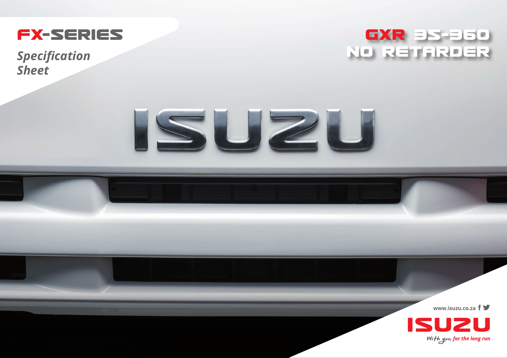

*Sheet*





**www.isuzu.co.za**